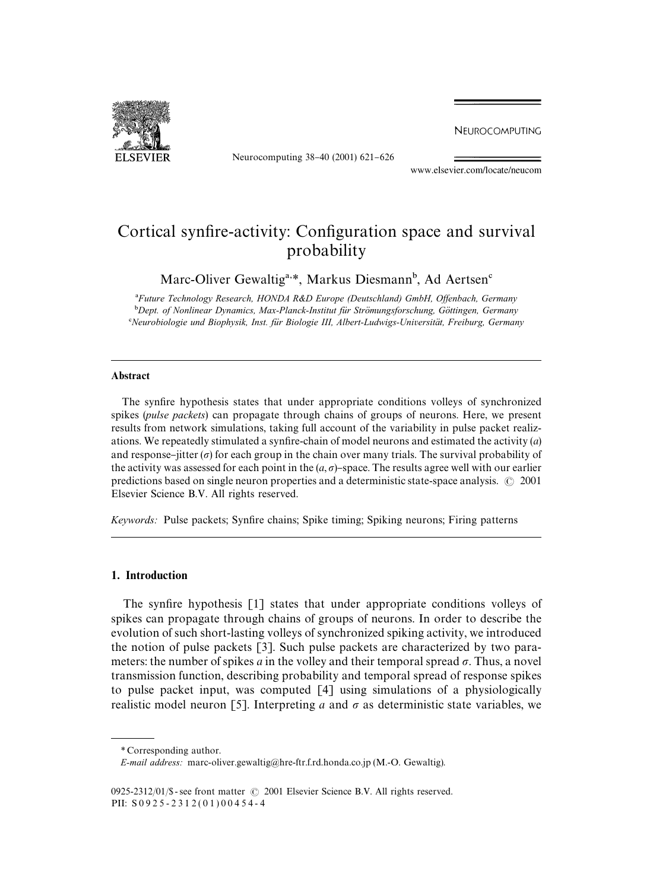NEUROCOMPUTING



Neurocomputing 38-40 (2001) 621-626

www.elsevier.com/locate/neucom

# Cortical synfire-activity: Configuration space and survival probability

Marc-Oliver Gewaltig<sup>a,\*</sup>, Markus Diesmann<sup>b</sup>, Ad Aertsen<sup>e</sup>

<sup>a</sup>Future Technology Research, HONDA R&D Europe (Deutschland) GmbH, Offenbach, Germany <sup>b</sup>Dept. of Nonlinear Dynamics, Max-Planck-Institut für Strömungsforschung, Göttingen, Germany *Neurobiologie und Biophysik, Inst. fu*(*r Biologie III, Albert-Ludwigs-Universita*( *t, Freiburg, Germany*

#### Abstract

The synfire hypothesis states that under appropriate conditions volleys of synchronized spikes (*pulse packets*) can propagate through chains of groups of neurons. Here, we present results from network simulations, taking full account of the variability in pulse packet realizations. We repeatedly stimulated a synfire-chain of model neurons and estimated the activity  $(a)$ and response-jitter ( $\sigma$ ) for each group in the chain over many trials. The survival probability of the activity was assessed for each point in the  $(a, \sigma)$ -space. The results agree well with our earlier predictions based on single neuron properties and a deterministic state-space analysis.  $\odot$  2001 Elsevier Science B.V. All rights reserved.

*Keywords:* Pulse packets; Synfire chains; Spike timing; Spiking neurons; Firing patterns

## 1. Introduction

The synfire hypothesis  $[1]$  states that under appropriate conditions volleys of spikes can propagate through chains of groups of neurons. In order to describe the evolution of such short-lasting volleys of synchronized spiking activity, we introduced the notion of pulse packets [3]. Such pulse packets are characterized by two parameters: the number of spikes *a* in the volley and their temporal spread  $\sigma$ . Thus, a novel transmission function, describing probability and temporal spread of response spikes to pulse packet input, was computed [4] using simulations of a physiologically realistic model neuron [5]. Interpreting *a* and  $\sigma$  as deterministic state variables, we

*<sup>\*</sup>* Corresponding author.

*E-mail address:* marc-oliver.gewaltig@hre-ftr.f.rd.honda.co.jp (M.-O. Gewaltig).

<sup>0925-2312/01/\$ -</sup> see front matter  $\odot$  2001 Elsevier Science B.V. All rights reserved. PII:  $S 0 9 2 5 - 2 3 1 2 (0 1) 0 0 4 5 4 - 4$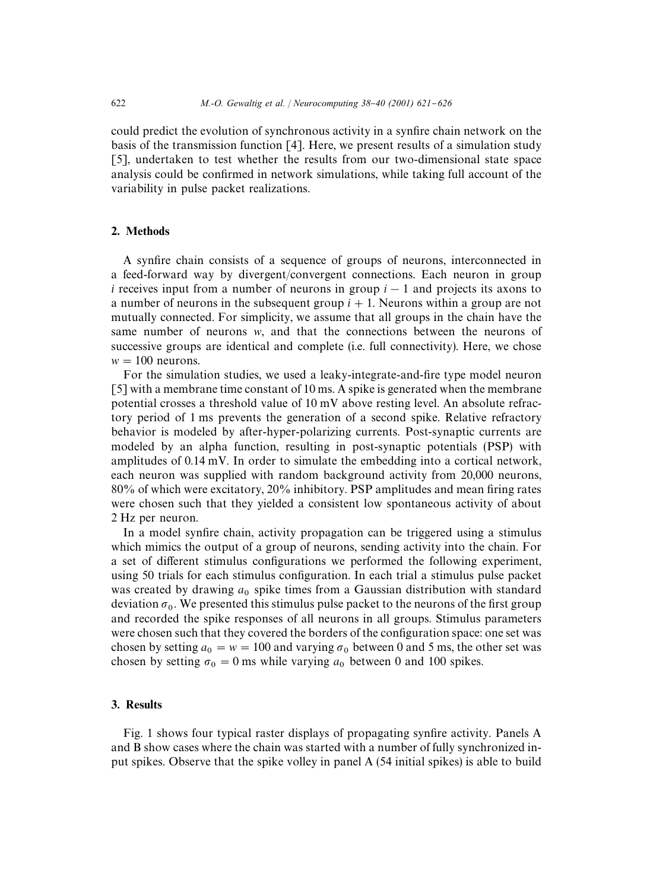could predict the evolution of synchronous activity in a synfire chain network on the basis of the transmission function [4]. Here, we present results of a simulation study [5], undertaken to test whether the results from our two-dimensional state space analysis could be confirmed in network simulations, while taking full account of the variability in pulse packet realizations.

### 2. Methods

A synfire chain consists of a sequence of groups of neurons, interconnected in a feed-forward way by divergent/convergent connections. Each neuron in group *i* receives input from a number of neurons in group  $i - 1$  and projects its axons to a number of neurons in the subsequent group  $i + 1$ . Neurons within a group are not mutually connected. For simplicity, we assume that all groups in the chain have the same number of neurons *w*, and that the connections between the neurons of successive groups are identical and complete (i.e. full connectivity). Here, we chose  $w = 100$  neurons.

For the simulation studies, we used a leaky-integrate-and-fire type model neuron [5] with a membrane time constant of 10 ms. A spike is generated when the membrane potential crosses a threshold value of 10 mV above resting level. An absolute refractory period of 1 ms prevents the generation of a second spike. Relative refractory behavior is modeled by after-hyper-polarizing currents. Post-synaptic currents are modeled by an alpha function, resulting in post-synaptic potentials (PSP) with amplitudes of 0.14mV. In order to simulate the embedding into a cortical network, each neuron was supplied with random background activity from 20,000 neurons,  $80\%$  of which were excitatory,  $20\%$  inhibitory. PSP amplitudes and mean firing rates were chosen such that they yielded a consistent low spontaneous activity of about 2 Hz per neuron.

In a model synfire chain, activity propagation can be triggered using a stimulus which mimics the output of a group of neurons, sending activity into the chain. For a set of different stimulus configurations we performed the following experiment, using 50 trials for each stimulus configuration. In each trial a stimulus pulse packet was created by drawing  $a_0$  spike times from a Gaussian distribution with standard deviation  $\sigma_0$ . We presented this stimulus pulse packet to the neurons of the first group and recorded the spike responses of all neurons in all groups. Stimulus parameters were chosen such that they covered the borders of the configuration space: one set was chosen by setting  $a_0 = w = 100$  and varying  $\sigma_0$  between 0 and 5 ms, the other set was chosen by setting  $\sigma_0 = 0$  ms while varying  $a_0$  between 0 and 100 spikes.

# 3. Results

Fig. 1 shows four typical raster displays of propagating synfire activity. Panels A and B show cases where the chain was started with a number of fully synchronized input spikes. Observe that the spike volley in panel A (54 initial spikes) is able to build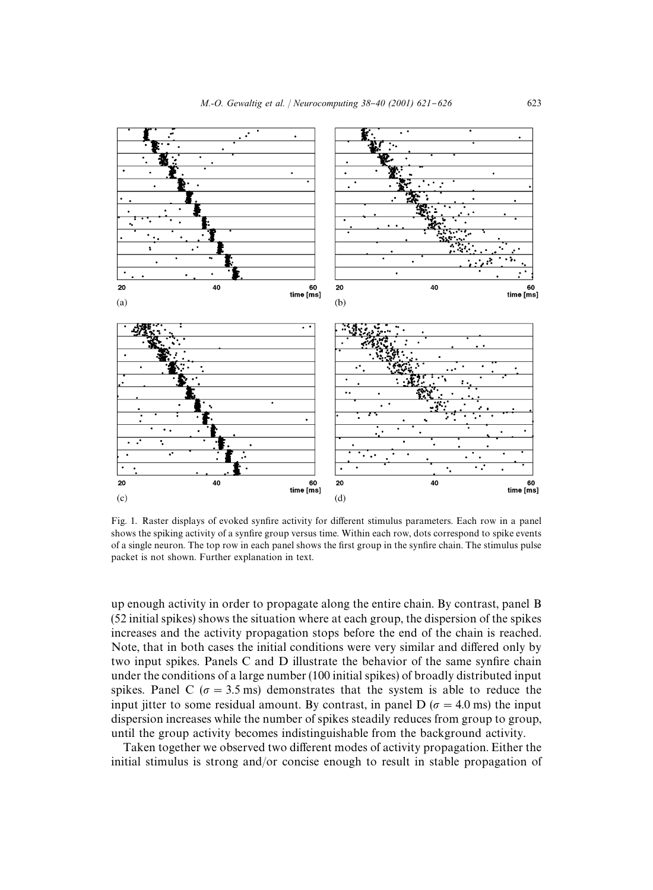

Fig. 1. Raster displays of evoked synfire activity for different stimulus parameters. Each row in a panel shows the spiking activity of a synfire group versus time. Within each row, dots correspond to spike events of a single neuron. The top row in each panel shows the first group in the synfire chain. The stimulus pulse packet is not shown. Further explanation in text.

up enough activity in order to propagate along the entire chain. By contrast, panel B (52 initial spikes) shows the situation where at each group, the dispersion of the spikes increases and the activity propagation stops before the end of the chain is reached. Note, that in both cases the initial conditions were very similar and differed only by two input spikes. Panels C and D illustrate the behavior of the same synfire chain under the conditions of a large number (100 initial spikes) of broadly distributed input spikes. Panel C ( $\sigma = 3.5$  ms) demonstrates that the system is able to reduce the input jitter to some residual amount. By contrast, in panel D ( $\sigma = 4.0$  ms) the input dispersion increases while the number of spikes steadily reduces from group to group, until the group activity becomes indistinguishable from the background activity.

Taken together we observed two different modes of activity propagation. Either the initial stimulus is strong and/or concise enough to result in stable propagation of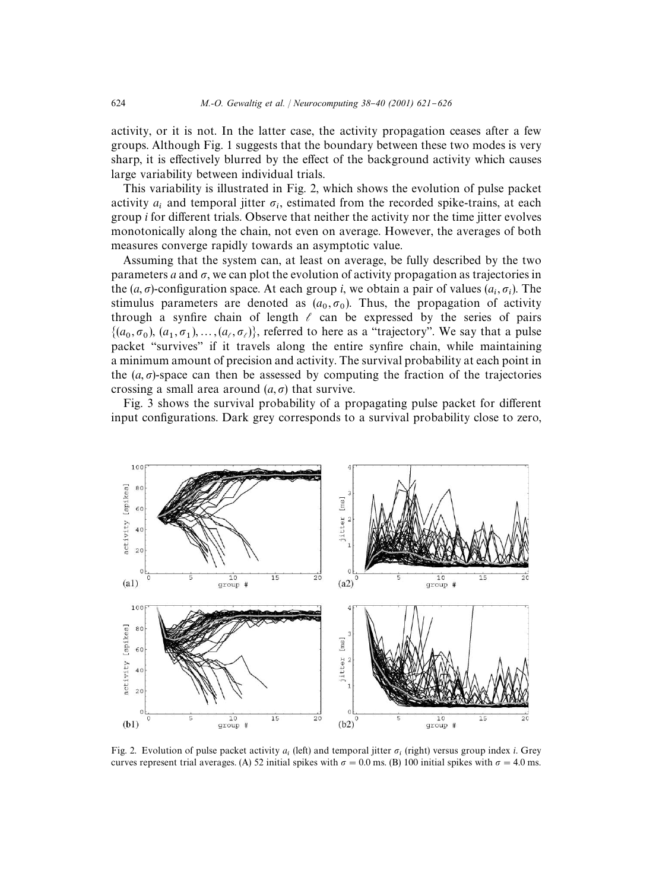activity, or it is not. In the latter case, the activity propagation ceases after a few groups. Although Fig. 1 suggests that the boundary between these two modes is very sharp, it is effectively blurred by the effect of the background activity which causes large variability between individual trials.

This variability is illustrated in Fig. 2, which shows the evolution of pulse packet activity  $a_i$  and temporal jitter  $\sigma_i$ , estimated from the recorded spike-trains, at each group *i* for different trials. Observe that neither the activity nor the time jitter evolves monotonically along the chain, not even on average. However, the averages of both measures converge rapidly towards an asymptotic value.

Assuming that the system can, at least on average, be fully described by the two parameters *a* and  $\sigma$ , we can plot the evolution of activity propagation as trajectories in the  $(a, \sigma)$ -configuration space. At each group *i*, we obtain a pair of values  $(a_i, \sigma_i)$ . The stimulus parameters are denoted as  $(a_0, \sigma_0)$ . Thus, the propagation of activity through a synfire chain of length  $\ell$  can be expressed by the series of pairs  $\{(a_0, \sigma_0), (a_1, \sigma_1), \ldots, (a_\ell, \sigma_\ell)\}\)$ , referred to here as a "trajectory". We say that a pulse packet "survives" if it travels along the entire synfire chain, while maintaining a minimum amount of precision and activity. The survival probability at each point in the  $(a, \sigma)$ -space can then be assessed by computing the fraction of the trajectories crossing a small area around  $(a, \sigma)$  that survive.

Fig. 3 shows the survival probability of a propagating pulse packet for different input configurations. Dark grey corresponds to a survival probability close to zero,



Fig. 2. Evolution of pulse packet activity  $a_i$  (left) and temporal jitter  $\sigma_i$  (right) versus group index *i*. Grey curves represent trial averages. (A) 52 initial spikes with  $\sigma = 0.0$  ms. (B) 100 initial spikes with  $\sigma = 4.0$  ms.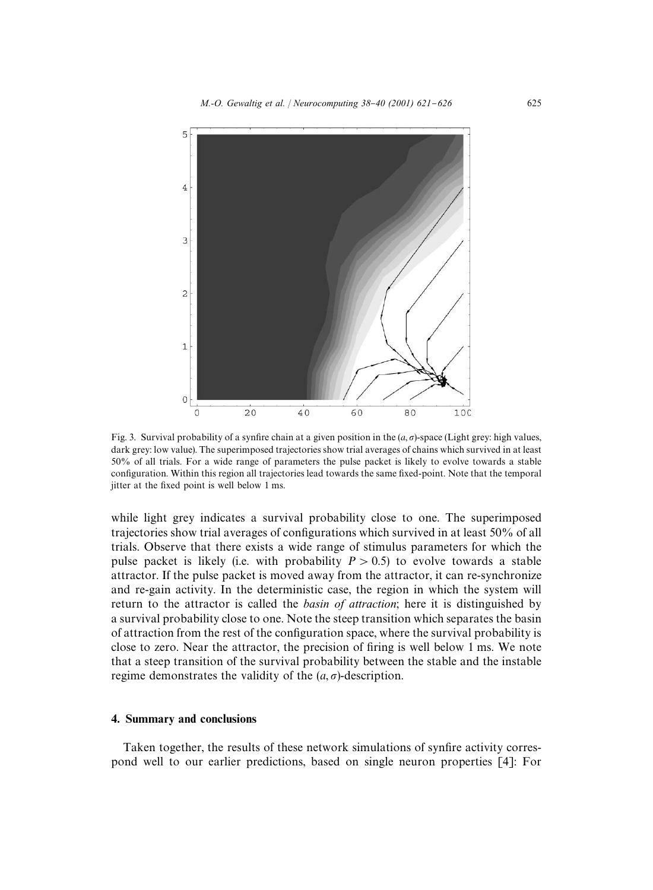

Fig. 3. Survival probability of a synfire chain at a given position in the  $(a, \sigma)$ -space (Light grey: high values, dark grey: low value). The superimposed trajectories show trial averages of chains which survived in at least 50% of all trials. For a wide range of parameters the pulse packet is likely to evolve towards a stable configuration. Within this region all trajectories lead towards the same fixed-point. Note that the temporal jitter at the fixed point is well below 1 ms.

while light grey indicates a survival probability close to one. The superimposed trajectories show trial averages of configurations which survived in at least 50% of all trials. Observe that there exists a wide range of stimulus parameters for which the pulse packet is likely (i.e. with probability  $P > 0.5$ ) to evolve towards a stable attractor. If the pulse packet is moved away from the attractor, it can re-synchronize and re-gain activity. In the deterministic case, the region in which the system will return to the attractor is called the *basin of attraction*; here it is distinguished by a survival probability close to one. Note the steep transition which separates the basin of attraction from the rest of the configuration space, where the survival probability is close to zero. Near the attractor, the precision of firing is well below  $1 \text{ ms}$ . We note that a steep transition of the survival probability between the stable and the instable regime demonstrates the validity of the  $(a, \sigma)$ -description.

# 4. Summary and conclusions

Taken together, the results of these network simulations of synfire activity correspond well to our earlier predictions, based on single neuron properties [4]: For